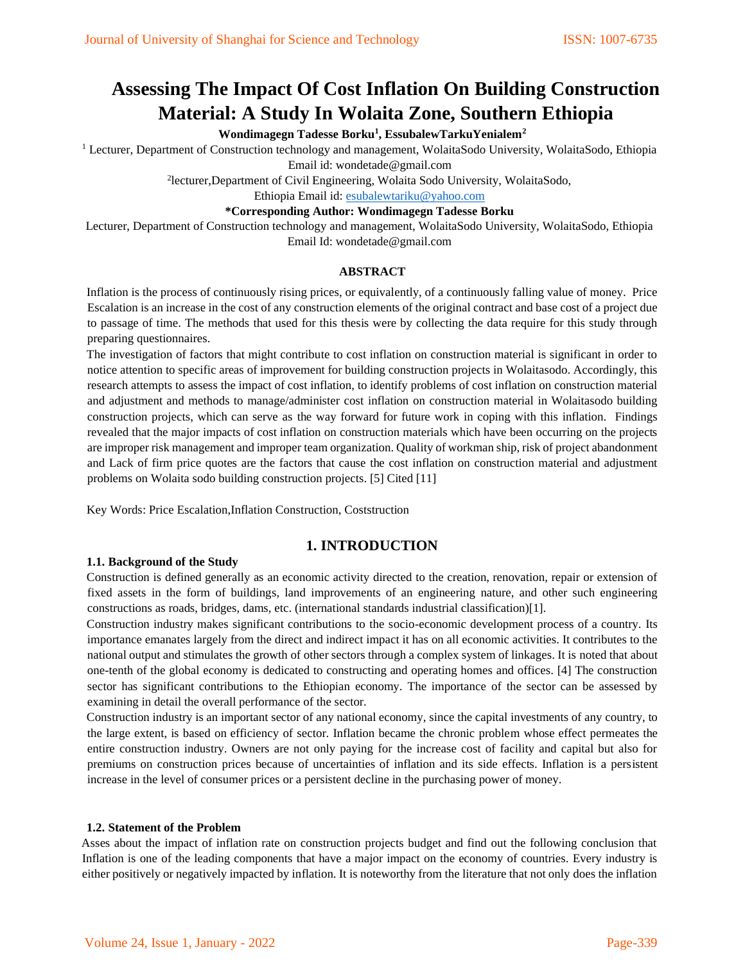# **Assessing The Impact Of Cost Inflation On Building Construction Material: A Study In Wolaita Zone, Southern Ethiopia**

# **Wondimagegn Tadesse Borku<sup>1</sup> , EssubalewTarkuYenialem<sup>2</sup>**

<sup>1</sup> Lecturer, Department of Construction technology and management, WolaitaSodo University, WolaitaSodo, Ethiopia Email id: wondetade@gmail.com

2 lecturer,Department of Civil Engineering, Wolaita Sodo University, WolaitaSodo,

Ethiopia Email id: [esubalewtariku@yahoo.com](mailto:esubalewtariku@yahoo.com)

## **\*Corresponding Author: Wondimagegn Tadesse Borku**

Lecturer, Department of Construction technology and management, WolaitaSodo University, WolaitaSodo, Ethiopia Email Id: wondetade@gmail.com

# **ABSTRACT**

Inflation is the process of continuously rising prices, or equivalently, of a continuously falling value of money. Price Escalation is an increase in the cost of any construction elements of the original contract and base cost of a project due to passage of time. The methods that used for this thesis were by collecting the data require for this study through preparing questionnaires.

The investigation of factors that might contribute to cost inflation on construction material is significant in order to notice attention to specific areas of improvement for building construction projects in Wolaitasodo. Accordingly, this research attempts to assess the impact of cost inflation, to identify problems of cost inflation on construction material and adjustment and methods to manage/administer cost inflation on construction material in Wolaitasodo building construction projects, which can serve as the way forward for future work in coping with this inflation. Findings revealed that the major impacts of cost inflation on construction materials which have been occurring on the projects are improper risk management and improper team organization. Quality of workman ship, risk of project abandonment and Lack of firm price quotes are the factors that cause the cost inflation on construction material and adjustment problems on Wolaita sodo building construction projects. [5] Cited [11]

Key Words: Price Escalation,Inflation Construction, Coststruction

# **1. INTRODUCTION**

# **1.1. Background of the Study**

Construction is defined generally as an economic activity directed to the creation, renovation, repair or extension of fixed assets in the form of buildings, land improvements of an engineering nature, and other such engineering constructions as roads, bridges, dams, etc. (international standards industrial classification)[1].

Construction industry makes significant contributions to the socio-economic development process of a country. Its importance emanates largely from the direct and indirect impact it has on all economic activities. It contributes to the national output and stimulates the growth of other sectors through a complex system of linkages. It is noted that about one-tenth of the global economy is dedicated to constructing and operating homes and offices. [4] The construction sector has significant contributions to the Ethiopian economy. The importance of the sector can be assessed by examining in detail the overall performance of the sector.

Construction industry is an important sector of any national economy, since the capital investments of any country, to the large extent, is based on efficiency of sector. Inflation became the chronic problem whose effect permeates the entire construction industry. Owners are not only paying for the increase cost of facility and capital but also for premiums on construction prices because of uncertainties of inflation and its side effects. Inflation is a persistent increase in the level of consumer prices or a persistent decline in the purchasing power of money.

#### **1.2. Statement of the Problem**

Asses about the impact of inflation rate on construction projects budget and find out the following conclusion that Inflation is one of the leading components that have a major impact on the economy of countries. Every industry is either positively or negatively impacted by inflation. It is noteworthy from the literature that not only does the inflation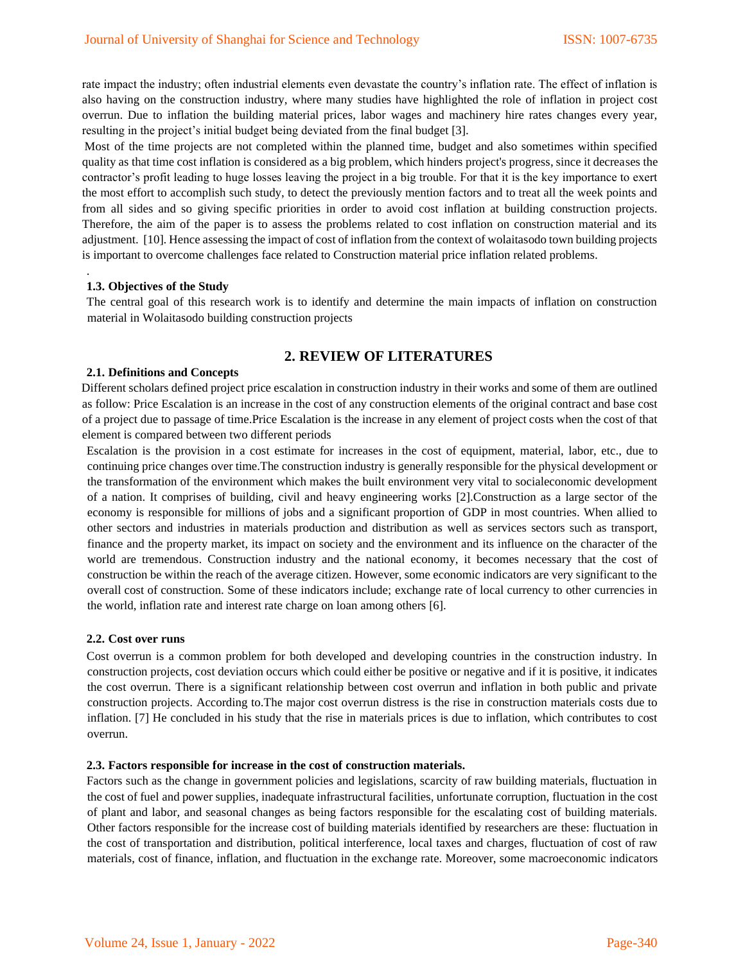rate impact the industry; often industrial elements even devastate the country's inflation rate. The effect of inflation is also having on the construction industry, where many studies have highlighted the role of inflation in project cost overrun. Due to inflation the building material prices, labor wages and machinery hire rates changes every year, resulting in the project's initial budget being deviated from the final budget [3].

Most of the time projects are not completed within the planned time, budget and also sometimes within specified quality as that time cost inflation is considered as a big problem, which hinders project's progress, since it decreases the contractor's profit leading to huge losses leaving the project in a big trouble. For that it is the key importance to exert the most effort to accomplish such study, to detect the previously mention factors and to treat all the week points and from all sides and so giving specific priorities in order to avoid cost inflation at building construction projects. Therefore, the aim of the paper is to assess the problems related to cost inflation on construction material and its adjustment. [10]. Hence assessing the impact of cost of inflation from the context of wolaitasodo town building projects is important to overcome challenges face related to Construction material price inflation related problems.

#### **1.3. Objectives of the Study**

.

The central goal of this research work is to identify and determine the main impacts of inflation on construction material in Wolaitasodo building construction projects

# **2. REVIEW OF LITERATURES**

#### **2.1. Definitions and Concepts**

Different scholars defined project price escalation in construction industry in their works and some of them are outlined as follow: Price Escalation is an increase in the cost of any construction elements of the original contract and base cost of a project due to passage of time.Price Escalation is the increase in any element of project costs when the cost of that element is compared between two different periods

Escalation is the provision in a cost estimate for increases in the cost of equipment, material, labor, etc., due to continuing price changes over time.The construction industry is generally responsible for the physical development or the transformation of the environment which makes the built environment very vital to socialeconomic development of a nation. It comprises of building, civil and heavy engineering works [2].Construction as a large sector of the economy is responsible for millions of jobs and a significant proportion of GDP in most countries. When allied to other sectors and industries in materials production and distribution as well as services sectors such as transport, finance and the property market, its impact on society and the environment and its influence on the character of the world are tremendous. Construction industry and the national economy, it becomes necessary that the cost of construction be within the reach of the average citizen. However, some economic indicators are very significant to the overall cost of construction. Some of these indicators include; exchange rate of local currency to other currencies in the world, inflation rate and interest rate charge on loan among others [6].

#### **2.2. Cost over runs**

Cost overrun is a common problem for both developed and developing countries in the construction industry. In construction projects, cost deviation occurs which could either be positive or negative and if it is positive, it indicates the cost overrun. There is a significant relationship between cost overrun and inflation in both public and private construction projects. According to.The major cost overrun distress is the rise in construction materials costs due to inflation. [7] He concluded in his study that the rise in materials prices is due to inflation, which contributes to cost overrun.

#### **2.3. Factors responsible for increase in the cost of construction materials.**

Factors such as the change in government policies and legislations, scarcity of raw building materials, fluctuation in the cost of fuel and power supplies, inadequate infrastructural facilities, unfortunate corruption, fluctuation in the cost of plant and labor, and seasonal changes as being factors responsible for the escalating cost of building materials. Other factors responsible for the increase cost of building materials identified by researchers are these: fluctuation in the cost of transportation and distribution, political interference, local taxes and charges, fluctuation of cost of raw materials, cost of finance, inflation, and fluctuation in the exchange rate. Moreover, some macroeconomic indicators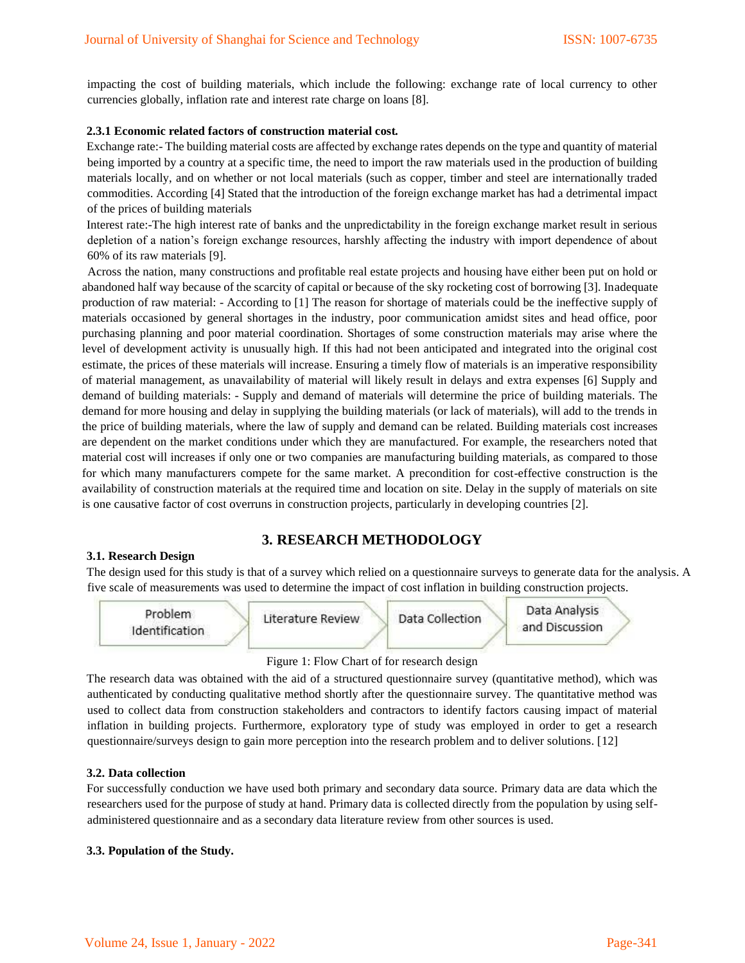impacting the cost of building materials, which include the following: exchange rate of local currency to other currencies globally, inflation rate and interest rate charge on loans [8].

### **2.3.1 Economic related factors of construction material cost.**

Exchange rate:- The building material costs are affected by exchange rates depends on the type and quantity of material being imported by a country at a specific time, the need to import the raw materials used in the production of building materials locally, and on whether or not local materials (such as copper, timber and steel are internationally traded commodities. According [4] Stated that the introduction of the foreign exchange market has had a detrimental impact of the prices of building materials

Interest rate:-The high interest rate of banks and the unpredictability in the foreign exchange market result in serious depletion of a nation's foreign exchange resources, harshly affecting the industry with import dependence of about 60% of its raw materials [9].

Across the nation, many constructions and profitable real estate projects and housing have either been put on hold or abandoned half way because of the scarcity of capital or because of the sky rocketing cost of borrowing [3]. Inadequate production of raw material: - According to [1] The reason for shortage of materials could be the ineffective supply of materials occasioned by general shortages in the industry, poor communication amidst sites and head office, poor purchasing planning and poor material coordination. Shortages of some construction materials may arise where the level of development activity is unusually high. If this had not been anticipated and integrated into the original cost estimate, the prices of these materials will increase. Ensuring a timely flow of materials is an imperative responsibility of material management, as unavailability of material will likely result in delays and extra expenses [6] Supply and demand of building materials: - Supply and demand of materials will determine the price of building materials. The demand for more housing and delay in supplying the building materials (or lack of materials), will add to the trends in the price of building materials, where the law of supply and demand can be related. Building materials cost increases are dependent on the market conditions under which they are manufactured. For example, the researchers noted that material cost will increases if only one or two companies are manufacturing building materials, as compared to those for which many manufacturers compete for the same market. A precondition for cost-effective construction is the availability of construction materials at the required time and location on site. Delay in the supply of materials on site is one causative factor of cost overruns in construction projects, particularly in developing countries [2].

# **3. RESEARCH METHODOLOGY**

#### **3.1. Research Design**

The design used for this study is that of a survey which relied on a questionnaire surveys to generate data for the analysis. A five scale of measurements was used to determine the impact of cost inflation in building construction projects.

| Problem<br>Identification | Literature Review | Data Analysis<br>Data Collection<br>and Discussion |
|---------------------------|-------------------|----------------------------------------------------|
|                           |                   |                                                    |

#### Figure 1: Flow Chart of for research design

The research data was obtained with the aid of a structured questionnaire survey (quantitative method), which was authenticated by conducting qualitative method shortly after the questionnaire survey. The quantitative method was used to collect data from construction stakeholders and contractors to identify factors causing impact of material inflation in building projects. Furthermore, exploratory type of study was employed in order to get a research questionnaire/surveys design to gain more perception into the research problem and to deliver solutions. [12]

#### **3.2. Data collection**

For successfully conduction we have used both primary and secondary data source. Primary data are data which the researchers used for the purpose of study at hand. Primary data is collected directly from the population by using selfadministered questionnaire and as a secondary data literature review from other sources is used.

#### **3.3. Population of the Study.**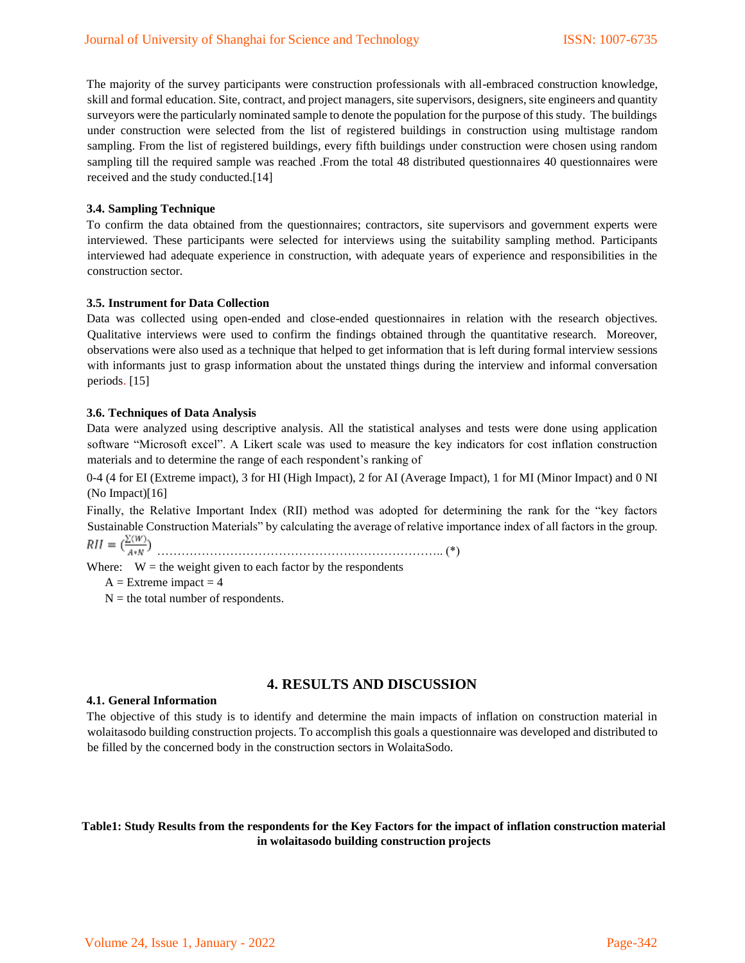The majority of the survey participants were construction professionals with all-embraced construction knowledge, skill and formal education. Site, contract, and project managers, site supervisors, designers, site engineers and quantity surveyors were the particularly nominated sample to denote the population for the purpose of this study. The buildings under construction were selected from the list of registered buildings in construction using multistage random sampling. From the list of registered buildings, every fifth buildings under construction were chosen using random sampling till the required sample was reached .From the total 48 distributed questionnaires 40 questionnaires were received and the study conducted.[14]

#### **3.4. Sampling Technique**

To confirm the data obtained from the questionnaires; contractors, site supervisors and government experts were interviewed. These participants were selected for interviews using the suitability sampling method. Participants interviewed had adequate experience in construction, with adequate years of experience and responsibilities in the construction sector.

#### **3.5. Instrument for Data Collection**

Data was collected using open-ended and close-ended questionnaires in relation with the research objectives. Qualitative interviews were used to confirm the findings obtained through the quantitative research. Moreover, observations were also used as a technique that helped to get information that is left during formal interview sessions with informants just to grasp information about the unstated things during the interview and informal conversation periods. [15]

#### **3.6. Techniques of Data Analysis**

Data were analyzed using descriptive analysis. All the statistical analyses and tests were done using application software "Microsoft excel". A Likert scale was used to measure the key indicators for cost inflation construction materials and to determine the range of each respondent's ranking of

0-4 (4 for EI (Extreme impact), 3 for HI (High Impact), 2 for AI (Average Impact), 1 for MI (Minor Impact) and 0 NI (No Impact)[16]

Finally, the Relative Important Index (RII) method was adopted for determining the rank for the "key factors Sustainable Construction Materials" by calculating the average of relative importance index of all factors in the group.

 $\text{\textit{RII}} = (\frac{\Sigma(\textit{w})}{A \ast \textit{N}})$ 

Where:  $W =$  the weight given to each factor by the respondents

 $A =$  Extreme impact  $= 4$ 

 $N =$  the total number of respondents.

# **4. RESULTS AND DISCUSSION**

#### **4.1. General Information**

The objective of this study is to identify and determine the main impacts of inflation on construction material in wolaitasodo building construction projects. To accomplish this goals a questionnaire was developed and distributed to be filled by the concerned body in the construction sectors in WolaitaSodo.

# **Table1: Study Results from the respondents for the Key Factors for the impact of inflation construction material in wolaitasodo building construction projects**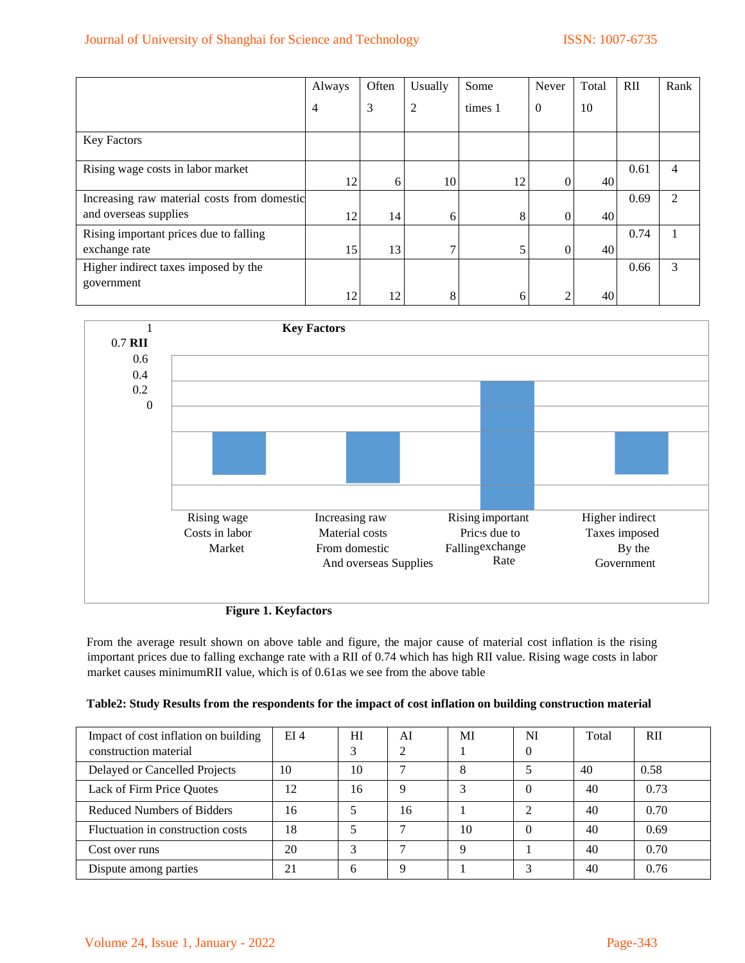# Journal of University of Shanghai for Science and Technology ISSN: 1007-6735

|                                             | Always         | Often | Usually       | Some    | Never          | Total | $\rm RII$ | Rank           |
|---------------------------------------------|----------------|-------|---------------|---------|----------------|-------|-----------|----------------|
|                                             | $\overline{4}$ | 3     | 2             | times 1 | $\overline{0}$ | 10    |           |                |
| <b>Key Factors</b>                          |                |       |               |         |                |       |           |                |
| Rising wage costs in labor market           | 12             | 6     | 10            | 12      | 0              | 40    | 0.61      | 4              |
| Increasing raw material costs from domestic |                |       |               |         |                |       | 0.69      | $\mathfrak{D}$ |
| and overseas supplies                       | 12             | 14    | 6             | 8       | $\Omega$       | 40    |           |                |
| Rising important prices due to falling      |                |       |               |         |                |       | 0.74      |                |
| exchange rate                               | 15             | 13    | $\mathcal{L}$ | 5       | $\Omega$       | 40    |           |                |
| Higher indirect taxes imposed by the        |                |       |               |         |                |       | 0.66      | 3              |
| government                                  | 12             | 12    | 8             | 6       |                | 40    |           |                |



**Figure 1. Keyfactors**

From the average result shown on above table and figure, the major cause of material cost inflation is the rising important prices due to falling exchange rate with a RII of 0.74 which has high RII value. Rising wage costs in labor market causes minimumRII value, which is of 0.61as we see from the above table

|  | Table2: Study Results from the respondents for the impact of cost inflation on building construction material |
|--|---------------------------------------------------------------------------------------------------------------|
|  |                                                                                                               |

| Impact of cost inflation on building<br>construction material | EI4 | HI<br>3 | AI | MI | NI<br>0 | Total | RII  |
|---------------------------------------------------------------|-----|---------|----|----|---------|-------|------|
| Delayed or Cancelled Projects                                 | 10  | 10      |    | 8  |         | 40    | 0.58 |
| Lack of Firm Price Quotes                                     | 12  | 16      | q  | ◠  |         | 40    | 0.73 |
| Reduced Numbers of Bidders                                    | 16  |         | 16 |    |         | 40    | 0.70 |
| Fluctuation in construction costs                             | 18  | 5       |    | 10 |         | 40    | 0.69 |
| Cost over runs                                                | 20  | 3       |    | Q  |         | 40    | 0.70 |
| Dispute among parties                                         | 21  | 6       | Q  |    |         | 40    | 0.76 |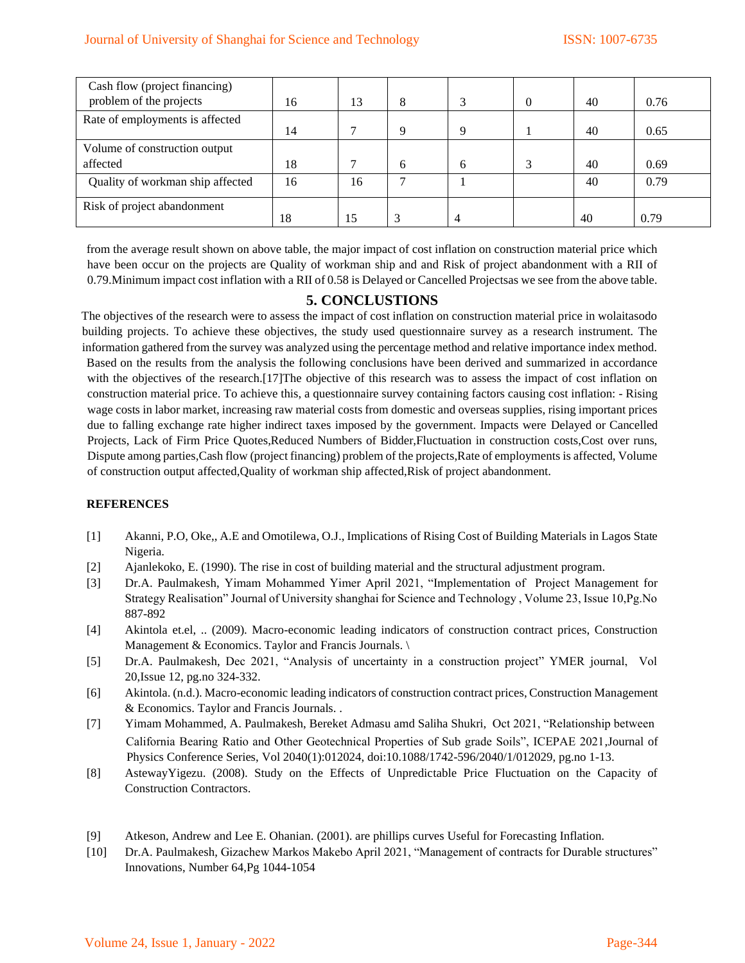| Cash flow (project financing)    |    |    |   |   |          |    |      |
|----------------------------------|----|----|---|---|----------|----|------|
| problem of the projects          | 16 | 13 | 8 | 3 | $\theta$ | 40 | 0.76 |
| Rate of employments is affected  | 14 | 7  | 9 | Q |          | 40 | 0.65 |
| Volume of construction output    |    |    |   |   |          |    |      |
| affected                         | 18 |    | 6 | 6 |          | 40 | 0.69 |
| Quality of workman ship affected | 16 | 16 |   |   |          | 40 | 0.79 |
| Risk of project abandonment      |    |    |   |   |          |    |      |
|                                  | 18 | 15 |   |   |          | 40 | 0.79 |

from the average result shown on above table, the major impact of cost inflation on construction material price which have been occur on the projects are Quality of workman ship and and Risk of project abandonment with a RII of 0.79.Minimum impact cost inflation with a RII of 0.58 is Delayed or Cancelled Projectsas we see from the above table.

# **5. CONCLUSTIONS**

The objectives of the research were to assess the impact of cost inflation on construction material price in wolaitasodo building projects. To achieve these objectives, the study used questionnaire survey as a research instrument. The information gathered from the survey was analyzed using the percentage method and relative importance index method. Based on the results from the analysis the following conclusions have been derived and summarized in accordance with the objectives of the research.[17]The objective of this research was to assess the impact of cost inflation on construction material price. To achieve this, a questionnaire survey containing factors causing cost inflation: - Rising wage costs in labor market, increasing raw material costs from domestic and overseas supplies, rising important prices due to falling exchange rate higher indirect taxes imposed by the government. Impacts were Delayed or Cancelled Projects, Lack of Firm Price Quotes,Reduced Numbers of Bidder,Fluctuation in construction costs,Cost over runs, Dispute among parties,Cash flow (project financing) problem of the projects,Rate of employments is affected, Volume of construction output affected,Quality of workman ship affected,Risk of project abandonment.

# **REFERENCES**

- [1] Akanni, P.O, Oke,, A.E and Omotilewa, O.J., Implications of Rising Cost of Building Materials in Lagos State Nigeria.
- [2] Ajanlekoko, E. (1990). The rise in cost of building material and the structural adjustment program.
- [3] D[r.A. Paulmakesh,](https://www.researchgate.net/scientific-contributions/A-Paulmakesh-2205228769) Yimam Mohammed Yimer April 2021, "Implementation of Project Management for Strategy Realisation" Journal of University shanghai for Science and Technology , Volume 23, Issue 10,Pg.No 887-892
- [4] Akintola et.el, .. (2009). Macro-economic leading indicators of construction contract prices, Construction Management & Economics. Taylor and Francis Journals.
- [5] D[r.A. Paulmakesh,](https://www.researchgate.net/scientific-contributions/A-Paulmakesh-2205228769) Dec 2021, "Analysis of uncertainty in a construction project" YMER journal, Vol 20,Issue 12, pg.no 324-332.
- [6] Akintola. (n.d.). Macro-economic leading indicators of construction contract prices, Construction Management & Economics. Taylor and Francis Journals. .
- [7] [Yimam Mohammed,](https://www.researchgate.net/scientific-contributions/Yimam-Mohammed-2205231723) [A. Paulmakesh,](https://www.researchgate.net/scientific-contributions/A-Paulmakesh-2205228769) [Bereket Admasu a](https://www.researchgate.net/scientific-contributions/Bereket-Admasu-2205277422)md [Saliha Shukri,](https://www.researchgate.net/scientific-contributions/Saliha-Shukri-2205252445) Oct 2021, "Relationship between California Bearing Ratio and Other Geotechnical Properties of Sub grade Soils", ICEPAE 202[1,Journal of](https://www.researchgate.net/journal/Journal-of-Physics-Conference-Series-1742-6596)  [Physics Conference Series,](https://www.researchgate.net/journal/Journal-of-Physics-Conference-Series-1742-6596) Vol 2040(1):012024, doi:10.1088/1742-596/2040/1/012029, pg.no 1-13.
- [8] AstewayYigezu. (2008). Study on the Effects of Unpredictable Price Fluctuation on the Capacity of Construction Contractors.
- [9] Atkeson, Andrew and Lee E. Ohanian. (2001). are phillips curves Useful for Forecasting Inflation.
- [10] D[r.A. Paulmakesh,](https://www.researchgate.net/scientific-contributions/A-Paulmakesh-2205228769) Gizachew Markos Makebo April 2021, "Management of contracts for Durable structures" Innovations, Number 64,Pg 1044-1054